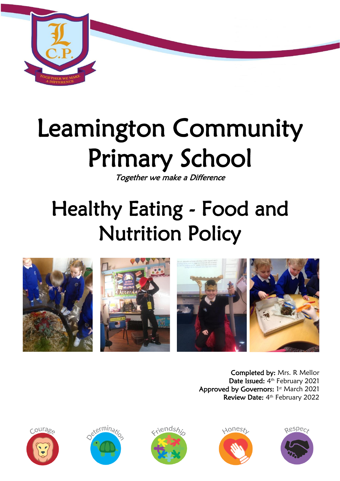

# Leamington Community Primary School

Together we make a Difference

## Healthy Eating - Food and Nutrition Policy



Completed by: Mrs. R Mellor Date Issued: 4<sup>th</sup> February 2021 Approved by Governors: 1st March 2021 Review Date: 4<sup>th</sup> February 2022









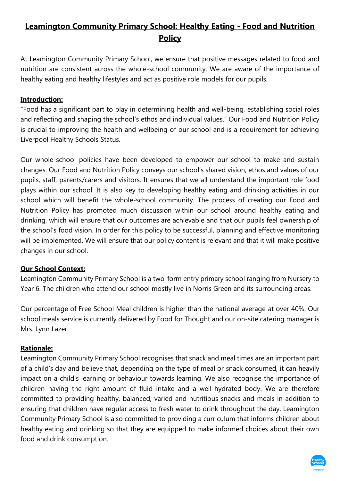### **Leamington Community Primary School: Healthy Eating - Food and Nutrition Policy**

At Leamington Community Primary School, we ensure that positive messages related to food and nutrition are consistent across the whole-school community. We are aware of the importance of healthy eating and healthy lifestyles and act as positive role models for our pupils.

#### **Introduction:**

"Food has a significant part to play in determining health and well-being, establishing social roles and reflecting and shaping the school's ethos and individual values." Our Food and Nutrition Policy is crucial to improving the health and wellbeing of our school and is a requirement for achieving Liverpool Healthy Schools Status.

Our whole-school policies have been developed to empower our school to make and sustain changes. Our Food and Nutrition Policy conveys our school's shared vision, ethos and values of our pupils, staff, parents/carers and visitors. It ensures that we all understand the important role food plays within our school. It is also key to developing healthy eating and drinking activities in our school which will benefit the whole-school community. The process of creating our Food and Nutrition Policy has promoted much discussion within our school around healthy eating and drinking, which will ensure that our outcomes are achievable and that our pupils feel ownership of the school's food vision. In order for this policy to be successful, planning and effective monitoring will be implemented. We will ensure that our policy content is relevant and that it will make positive changes in our school.

#### **Our School Context:**

Leamington Community Primary School is a two-form entry primary school ranging from Nursery to Year 6. The children who attend our school mostly live in Norris Green and its surrounding areas.

Our percentage of Free School Meal children is higher than the national average at over 40%. Our school meals service is currently delivered by Food for Thought and our on-site catering manager is Mrs. Lynn Lazer.

#### **Rationale:**

Leamington Community Primary School recognises that snack and meal times are an important part of a child's day and believe that, depending on the type of meal or snack consumed, it can heavily impact on a child's learning or behaviour towards learning. We also recognise the importance of children having the right amount of fluid intake and a well-hydrated body. We are therefore committed to providing healthy, balanced, varied and nutritious snacks and meals in addition to ensuring that children have regular access to fresh water to drink throughout the day. Leamington Community Primary School is also committed to providing a curriculum that informs children about healthy eating and drinking so that they are equipped to make informed choices about their own food and drink consumption.

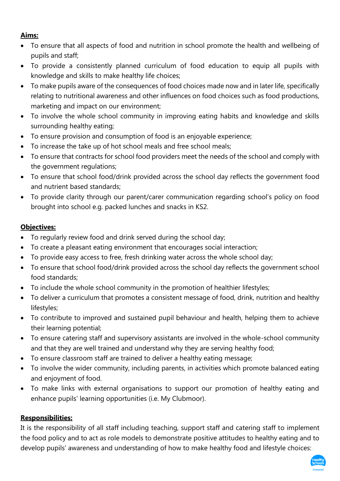#### **Aims:**

- To ensure that all aspects of food and nutrition in school promote the health and wellbeing of pupils and staff;
- To provide a consistently planned curriculum of food education to equip all pupils with knowledge and skills to make healthy life choices;
- To make pupils aware of the consequences of food choices made now and in later life, specifically relating to nutritional awareness and other influences on food choices such as food productions, marketing and impact on our environment;
- To involve the whole school community in improving eating habits and knowledge and skills surrounding healthy eating;
- To ensure provision and consumption of food is an enjoyable experience;
- To increase the take up of hot school meals and free school meals;
- To ensure that contracts for school food providers meet the needs of the school and comply with the government regulations;
- To ensure that school food/drink provided across the school day reflects the government food and nutrient based standards;
- To provide clarity through our parent/carer communication regarding school's policy on food brought into school e.g. packed lunches and snacks in KS2.

#### **Objectives:**

- To regularly review food and drink served during the school day;
- To create a pleasant eating environment that encourages social interaction;
- To provide easy access to free, fresh drinking water across the whole school day;
- To ensure that school food/drink provided across the school day reflects the government school food standards;
- To include the whole school community in the promotion of healthier lifestyles;
- To deliver a curriculum that promotes a consistent message of food, drink, nutrition and healthy lifestyles;
- To contribute to improved and sustained pupil behaviour and health, helping them to achieve their learning potential;
- To ensure catering staff and supervisory assistants are involved in the whole-school community and that they are well trained and understand why they are serving healthy food;
- To ensure classroom staff are trained to deliver a healthy eating message;
- To involve the wider community, including parents, in activities which promote balanced eating and enjoyment of food.
- To make links with external organisations to support our promotion of healthy eating and enhance pupils' learning opportunities (i.e. My Clubmoor).

#### **Responsibilities:**

It is the responsibility of all staff including teaching, support staff and catering staff to implement the food policy and to act as role models to demonstrate positive attitudes to healthy eating and to develop pupils' awareness and understanding of how to make healthy food and lifestyle choices:

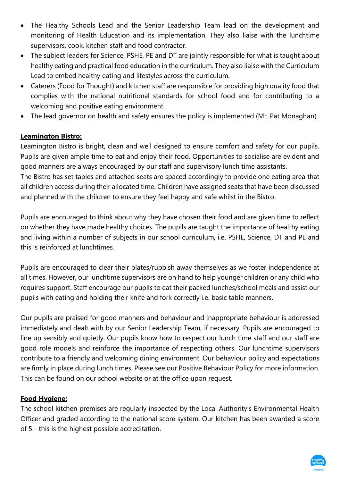- The Healthy Schools Lead and the Senior Leadership Team lead on the development and monitoring of Health Education and its implementation. They also liaise with the lunchtime supervisors, cook, kitchen staff and food contractor.
- The subject leaders for Science, PSHE, PE and DT are jointly responsible for what is taught about healthy eating and practical food education in the curriculum. They also liaise with the Curriculum Lead to embed healthy eating and lifestyles across the curriculum.
- Caterers (Food for Thought) and kitchen staff are responsible for providing high quality food that complies with the national nutritional standards for school food and for contributing to a welcoming and positive eating environment.
- The lead governor on health and safety ensures the policy is implemented (Mr. Pat Monaghan).

#### **Leamington Bistro:**

Leamington Bistro is bright, clean and well designed to ensure comfort and safety for our pupils. Pupils are given ample time to eat and enjoy their food. Opportunities to socialise are evident and good manners are always encouraged by our staff and supervisory lunch time assistants.

The Bistro has set tables and attached seats are spaced accordingly to provide one eating area that all children access during their allocated time. Children have assigned seats that have been discussed and planned with the children to ensure they feel happy and safe whilst in the Bistro.

Pupils are encouraged to think about why they have chosen their food and are given time to reflect on whether they have made healthy choices. The pupils are taught the importance of healthy eating and living within a number of subjects in our school curriculum, i.e. PSHE, Science, DT and PE and this is reinforced at lunchtimes.

Pupils are encouraged to clear their plates/rubbish away themselves as we foster independence at all times. However, our lunchtime supervisors are on hand to help younger children or any child who requires support. Staff encourage our pupils to eat their packed lunches/school meals and assist our pupils with eating and holding their knife and fork correctly i.e. basic table manners.

Our pupils are praised for good manners and behaviour and inappropriate behaviour is addressed immediately and dealt with by our Senior Leadership Team, if necessary. Pupils are encouraged to line up sensibly and quietly. Our pupils know how to respect our lunch time staff and our staff are good role models and reinforce the importance of respecting others. Our lunchtime supervisors contribute to a friendly and welcoming dining environment. Our behaviour policy and expectations are firmly in place during lunch times. Please see our Positive Behaviour Policy for more information. This can be found on our school website or at the office upon request.

#### **Food Hygiene:**

The school kitchen premises are regularly inspected by the Local Authority's Environmental Health Officer and graded according to the national score system. Our kitchen has been awarded a score of 5 - this is the highest possible accreditation.

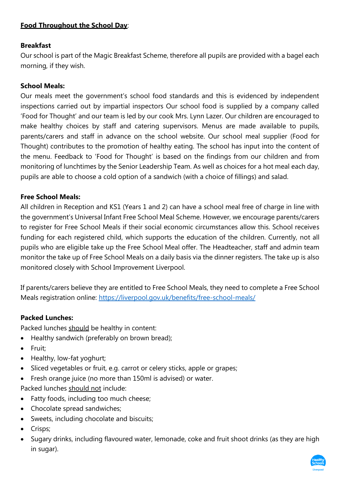#### **Food Throughout the School Day**:

#### **Breakfast**

Our school is part of the Magic Breakfast Scheme, therefore all pupils are provided with a bagel each morning, if they wish.

#### **School Meals:**

Our meals meet the government's school food standards and this is evidenced by independent inspections carried out by impartial inspectors Our school food is supplied by a company called 'Food for Thought' and our team is led by our cook Mrs. Lynn Lazer. Our children are encouraged to make healthy choices by staff and catering supervisors. Menus are made available to pupils, parents/carers and staff in advance on the school website. Our school meal supplier (Food for Thought) contributes to the promotion of healthy eating. The school has input into the content of the menu. Feedback to 'Food for Thought' is based on the findings from our children and from monitoring of lunchtimes by the Senior Leadership Team. As well as choices for a hot meal each day, pupils are able to choose a cold option of a sandwich (with a choice of fillings) and salad.

#### **Free School Meals:**

All children in Reception and KS1 (Years 1 and 2) can have a school meal free of charge in line with the government's Universal Infant Free School Meal Scheme. However, we encourage parents/carers to register for Free School Meals if their social economic circumstances allow this. School receives funding for each registered child, which supports the education of the children. Currently, not all pupils who are eligible take up the Free School Meal offer. The Headteacher, staff and admin team monitor the take up of Free School Meals on a daily basis via the dinner registers. The take up is also monitored closely with School Improvement Liverpool.

If parents/carers believe they are entitled to Free School Meals, they need to complete a Free School Meals registration online: <https://liverpool.gov.uk/benefits/free-school-meals/>

#### **Packed Lunches:**

Packed lunches should be healthy in content:

- Healthy sandwich (preferably on brown bread);
- Fruit;
- Healthy, low-fat yoghurt;
- Sliced vegetables or fruit, e.g. carrot or celery sticks, apple or grapes;
- Fresh orange juice (no more than 150ml is advised) or water.
- Packed lunches should not include:
- Fatty foods, including too much cheese;
- Chocolate spread sandwiches;
- Sweets, including chocolate and biscuits;
- Crisps;
- Sugary drinks, including flavoured water, lemonade, coke and fruit shoot drinks (as they are high in sugar).

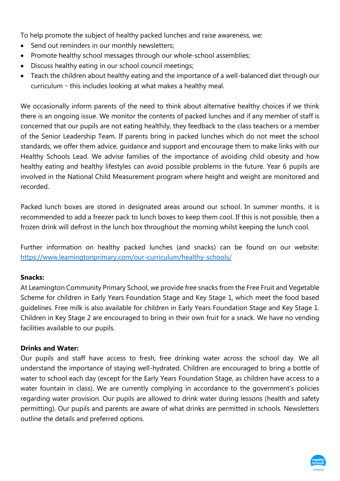To help promote the subject of healthy packed lunches and raise awareness, we:

- Send out reminders in our monthly newsletters;
- Promote healthy school messages through our whole-school assemblies;
- Discuss healthy eating in our school council meetings;
- Teach the children about healthy eating and the importance of a well-balanced diet through our curriculum – this includes looking at what makes a healthy meal.

We occasionally inform parents of the need to think about alternative healthy choices if we think there is an ongoing issue. We monitor the contents of packed lunches and if any member of staff is concerned that our pupils are not eating healthily, they feedback to the class teachers or a member of the Senior Leadership Team. If parents bring in packed lunches which do not meet the school standards, we offer them advice, guidance and support and encourage them to make links with our Healthy Schools Lead. We advise families of the importance of avoiding child obesity and how healthy eating and healthy lifestyles can avoid possible problems in the future. Year 6 pupils are involved in the National Child Measurement program where height and weight are monitored and recorded.

Packed lunch boxes are stored in designated areas around our school. In summer months, it is recommended to add a freezer pack to lunch boxes to keep them cool. If this is not possible, then a frozen drink will defrost in the lunch box throughout the morning whilst keeping the lunch cool.

Further information on healthy packed lunches (and snacks) can be found on our website: <https://www.leamingtonprimary.com/our-curriculum/healthy-schools/>

#### **Snacks:**

At Leamington Community Primary School, we provide free snacks from the Free Fruit and Vegetable Scheme for children in Early Years Foundation Stage and Key Stage 1, which meet the food based guidelines. Free milk is also available for children in Early Years Foundation Stage and Key Stage 1. Children in Key Stage 2 are encouraged to bring in their own fruit for a snack. We have no vending facilities available to our pupils.

#### **Drinks and Water:**

Our pupils and staff have access to fresh, free drinking water across the school day. We all understand the importance of staying well-hydrated. Children are encouraged to bring a bottle of water to school each day (except for the Early Years Foundation Stage, as children have access to a water fountain in class). We are currently complying in accordance to the government's policies regarding water provision. Our pupils are allowed to drink water during lessons (health and safety permitting). Our pupils and parents are aware of what drinks are permitted in schools. Newsletters outline the details and preferred options.

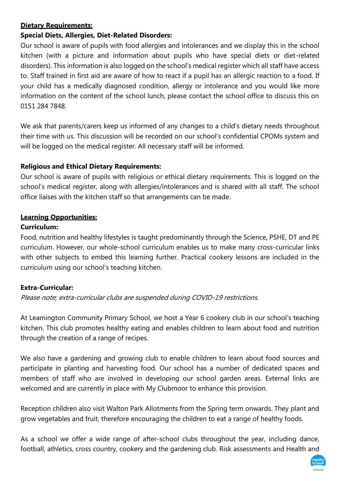#### **Dietary Requirements:**

#### **Special Diets, Allergies, Diet-Related Disorders:**

Our school is aware of pupils with food allergies and intolerances and we display this in the school kitchen (with a picture and information about pupils who have special diets or diet-related disorders). This information is also logged on the school's medical register which all staff have access to. Staff trained in first aid are aware of how to react if a pupil has an allergic reaction to a food. If your child has a medically diagnosed condition, allergy or intolerance and you would like more information on the content of the school lunch, please contact the school office to discuss this on 0151 284 7848.

We ask that parents/carers keep us informed of any changes to a child's dietary needs throughout their time with us. This discussion will be recorded on our school's confidential CPOMs system and will be logged on the medical register. All necessary staff will be informed.

#### **Religious and Ethical Dietary Requirements:**

Our school is aware of pupils with religious or ethical dietary requirements. This is logged on the school's medical register, along with allergies/intolerances and is shared with all staff. The school office liaises with the kitchen staff so that arrangements can be made.

#### **Learning Opportunities:**

#### **Curriculum:**

Food, nutrition and healthy lifestyles is taught predominantly through the Science, PSHE, DT and PE curriculum. However, our whole-school curriculum enables us to make many cross-curricular links with other subjects to embed this learning further. Practical cookery lessons are included in the curriculum using our school's teaching kitchen.

#### **Extra-Curricular:**

Please note; extra-curricular clubs are suspended during COVID-19 restrictions.

At Leamington Community Primary School, we host a Year 6 cookery club in our school's teaching kitchen. This club promotes healthy eating and enables children to learn about food and nutrition through the creation of a range of recipes.

We also have a gardening and growing club to enable children to learn about food sources and participate in planting and harvesting food. Our school has a number of dedicated spaces and members of staff who are involved in developing our school garden areas. External links are welcomed and are currently in place with My Clubmoor to enhance this provision.

Reception children also visit Walton Park Allotments from the Spring term onwards. They plant and grow vegetables and fruit, therefore encouraging the children to eat a range of healthy foods.

As a school we offer a wide range of after-school clubs throughout the year, including dance, football, athletics, cross country, cookery and the gardening club. Risk assessments and Health and